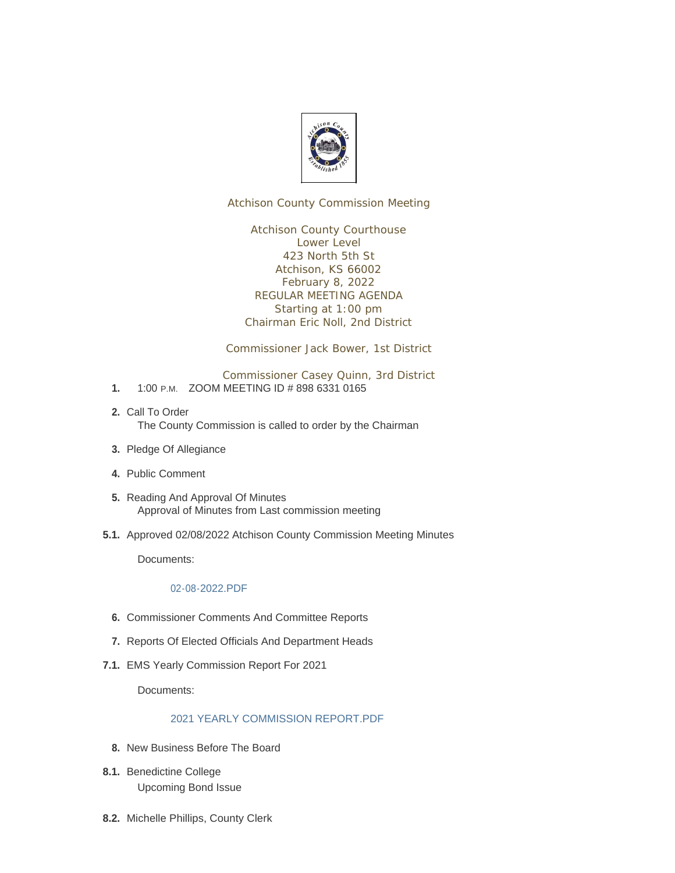

Atchison County Commission Meeting

Atchison County Courthouse Lower Level 423 North 5th St Atchison, KS 66002 February 8, 2022 REGULAR MEETING AGENDA Starting at 1:00 pm Chairman Eric Noll, 2nd District

Commissioner Jack Bower, 1st District

Commissioner Casey Quinn, 3rd District

- 1. 1:00 P.M. ZOOM MEETING ID # 898 6331 0165
- 2. Call To Order The County Commission is called to order by the Chairman
- 3. Pledge Of Allegiance
- Public Comment **4.**
- 5. Reading And Approval Of Minutes Approval of Minutes from Last commission meeting
- 5.1. Approved 02/08/2022 Atchison County Commission Meeting Minutes

Documents:

## [02-08-2022.PDF](http://www.atchisoncountyks.org/AgendaCenter/ViewFile/Item/10486?fileID=1693)

- **6.** Commissioner Comments And Committee Reports
- 7. Reports Of Elected Officials And Department Heads
- EMS Yearly Commission Report For 2021 **7.1.**

Documents:

## [2021 YEARLY COMMISSION REPORT.PDF](http://www.atchisoncountyks.org/AgendaCenter/ViewFile/Item/9045?fileID=1682)

- 8. New Business Before The Board
- 8.1. Benedictine College Upcoming Bond Issue
- 8.2. Michelle Phillips, County Clerk